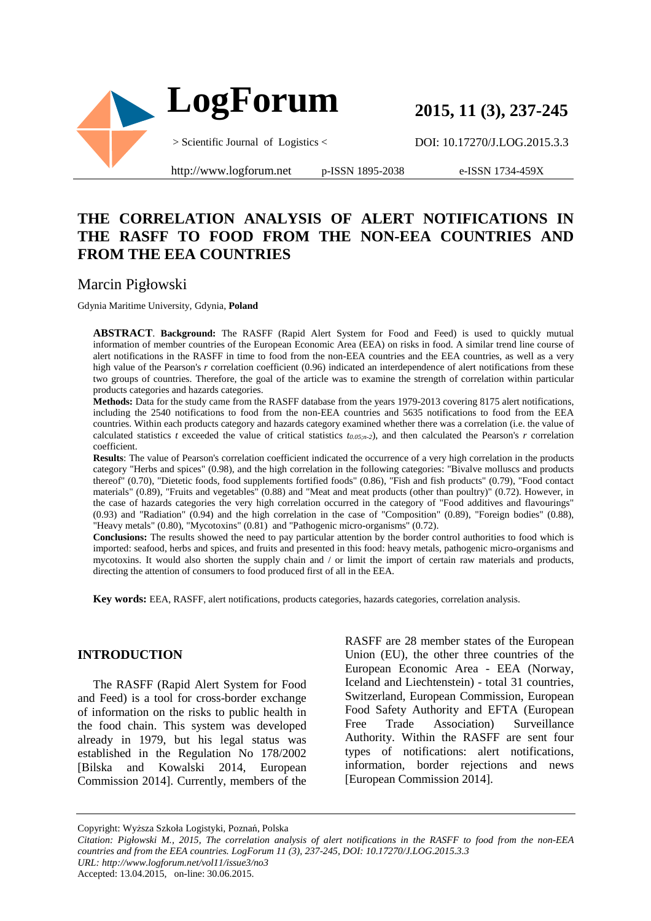

**2015, 11 (3), 237-245**

DOI: 10.17270/J.LOG.2015.3.3

http://www.logforum.net p-ISSN 1895-2038

e-ISSN 1734-459X

## **THE CORRELATION ANALYSIS OF ALERT NOTIFICATIONS IN THE RASFF TO FOOD FROM THE NON-EEA COUNTRIES AND FROM THE EEA COUNTRIES**

## Marcin Pigłowski

Gdynia Maritime University, Gdynia, **Poland**

**ABSTRACT**. **Background:** The RASFF (Rapid Alert System for Food and Feed) is used to quickly mutual information of member countries of the European Economic Area (EEA) on risks in food. A similar trend line course of alert notifications in the RASFF in time to food from the non-EEA countries and the EEA countries, as well as a very high value of the Pearson's *r* correlation coefficient (0.96) indicated an interdependence of alert notifications from these two groups of countries. Therefore, the goal of the article was to examine the strength of correlation within particular products categories and hazards categories.

**Methods:** Data for the study came from the RASFF database from the years 1979-2013 covering 8175 alert notifications, including the 2540 notifications to food from the non-EEA countries and 5635 notifications to food from the EEA countries. Within each products category and hazards category examined whether there was a correlation (i.e. the value of calculated statistics *t* exceeded the value of critical statistics  $t_{0.05,n-2}$ ), and then calculated the Pearson's *r* correlation coefficient.

**Results**: The value of Pearson's correlation coefficient indicated the occurrence of a very high correlation in the products category "Herbs and spices" (0.98), and the high correlation in the following categories: "Bivalve molluscs and products thereof" (0.70), "Dietetic foods, food supplements fortified foods" (0.86), "Fish and fish products" (0.79), "Food contact materials" (0.89), "Fruits and vegetables" (0.88) and "Meat and meat products (other than poultry)" (0.72). However, in the case of hazards categories the very high correlation occurred in the category of "Food additives and flavourings" (0.93) and "Radiation" (0.94) and the high correlation in the case of "Composition" (0.89), "Foreign bodies" (0.88), "Heavy metals" (0.80), "Mycotoxins" (0.81) and "Pathogenic micro-organisms" (0.72).

**Conclusions:** The results showed the need to pay particular attention by the border control authorities to food which is imported: seafood, herbs and spices, and fruits and presented in this food: heavy metals, pathogenic micro-organisms and mycotoxins. It would also shorten the supply chain and / or limit the import of certain raw materials and products, directing the attention of consumers to food produced first of all in the EEA.

**Key words:** EEA, RASFF, alert notifications, products categories, hazards categories, correlation analysis.

### **INTRODUCTION**

The RASFF (Rapid Alert System for Food and Feed) is a tool for cross-border exchange of information on the risks to public health in the food chain. This system was developed already in 1979, but his legal status was established in the Regulation No 178/2002 [Bilska and Kowalski 2014, European Commission 2014]. Currently, members of the

RASFF are 28 member states of the European Union (EU), the other three countries of the European Economic Area - EEA (Norway, Iceland and Liechtenstein) - total 31 countries, Switzerland, European Commission, European Food Safety Authority and EFTA (European Free Trade Association) Surveillance Authority. Within the RASFF are sent four types of notifications: alert notifications, information, border rejections and news [European Commission 2014].

Copyright: Wyższa Szkoła Logistyki, Poznań, Polska

*Citation: Pigłowski M., 2015, The correlation analysis of alert notifications in the RASFF to food from the non-EEA countries and from the EEA countries. LogForum 11 (3), 237-245, DOI: 10.17270/J.LOG.2015.3.3 URL: http://www.logforum.net/vol11/issue3/no3* Accepted: 13.04.2015, on-line: 30.06.2015.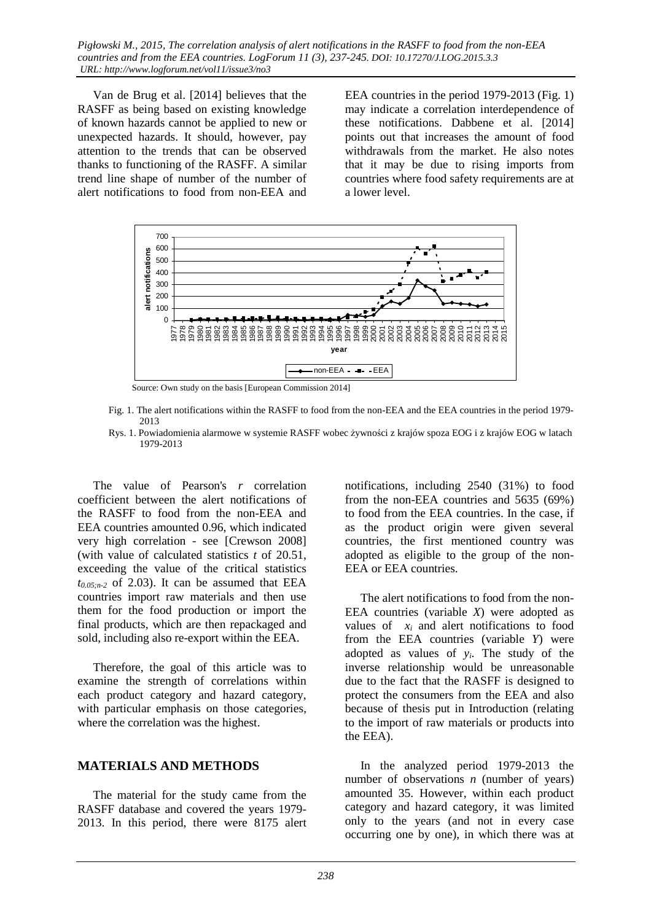Van de Brug et al. [2014] believes that the RASFF as being based on existing knowledge of known hazards cannot be applied to new or unexpected hazards. It should, however, pay attention to the trends that can be observed thanks to functioning of the RASFF. A similar trend line shape of number of the number of alert notifications to food from non-EEA and

EEA countries in the period 1979-2013 (Fig. 1) may indicate a correlation interdependence of these notifications. Dabbene et al. [2014] points out that increases the amount of food withdrawals from the market. He also notes that it may be due to rising imports from countries where food safety requirements are at a lower level.



Source: Own study on the basis [European Commission 2014]

- Fig. 1. The alert notifications within the RASFF to food from the non-EEA and the EEA countries in the period 1979- 2013
- Rys. 1. Powiadomienia alarmowe w systemie RASFF wobec żywności z krajów spoza EOG i z krajów EOG w latach 1979-2013

The value of Pearson's *r* correlation coefficient between the alert notifications of the RASFF to food from the non-EEA and EEA countries amounted 0.96, which indicated very high correlation - see [Crewson 2008] (with value of calculated statistics *t* of 20.51, exceeding the value of the critical statistics  $t_{0.05n-2}$  of 2.03). It can be assumed that EEA countries import raw materials and then use them for the food production or import the final products, which are then repackaged and sold, including also re-export within the EEA.

Therefore, the goal of this article was to examine the strength of correlations within each product category and hazard category, with particular emphasis on those categories, where the correlation was the highest.

### **MATERIALS AND METHODS**

The material for the study came from the RASFF database and covered the years 1979- 2013. In this period, there were 8175 alert notifications, including 2540 (31%) to food from the non-EEA countries and 5635 (69%) to food from the EEA countries. In the case, if as the product origin were given several countries, the first mentioned country was adopted as eligible to the group of the non-EEA or EEA countries.

The alert notifications to food from the non-EEA countries (variable *X*) were adopted as values of  $x_i$  and alert notifications to food from the EEA countries (variable *Y*) were adopted as values of *yi*. The study of the inverse relationship would be unreasonable due to the fact that the RASFF is designed to protect the consumers from the EEA and also because of thesis put in Introduction (relating to the import of raw materials or products into the EEA).

In the analyzed period 1979-2013 the number of observations *n* (number of years) amounted 35. However, within each product category and hazard category, it was limited only to the years (and not in every case occurring one by one), in which there was at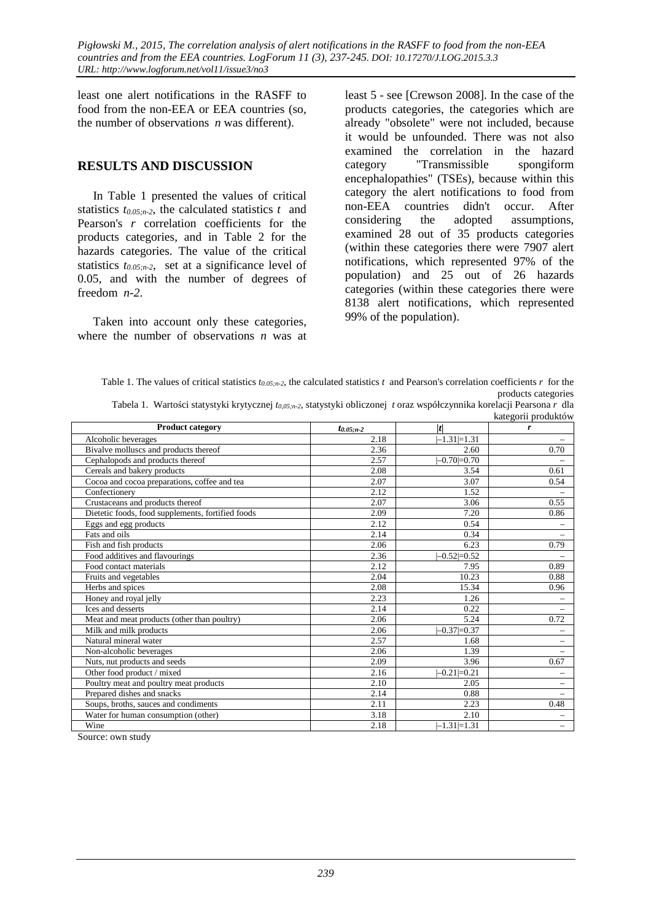least one alert notifications in the RASFF to food from the non-EEA or EEA countries (so, the number of observations *n* was different).

### **RESULTS AND DISCUSSION**

In Table 1 presented the values of critical statistics  $t_{0.05,n-2}$ , the calculated statistics  $t$  and Pearson's *r* correlation coefficients for the products categories, and in Table 2 for the hazards categories. The value of the critical statistics *t0.05;n-2*, set at a significance level of 0.05, and with the number of degrees of freedom *n-2*.

Taken into account only these categories, where the number of observations *n* was at

least 5 - see [Crewson 2008]. In the case of the products categories, the categories which are already "obsolete" were not included, because it would be unfounded. There was not also examined the correlation in the hazard category "Transmissible spongiform encephalopathies" (TSEs), because within this category the alert notifications to food from non-EEA countries didn't occur. After considering the adopted assumptions, examined 28 out of 35 products categories (within these categories there were 7907 alert notifications, which represented 97% of the population) and 25 out of 26 hazards categories (within these categories there were 8138 alert notifications, which represented 99% of the population).

Table 1. The values of critical statistics *t0.05;n-2*, the calculated statistics *t* and Pearson's correlation coefficients *r* for the products categories

|  | Tabela 1. Wartości statystyki krytycznej to,os,n-2, statystyki obliczonej toraz współczynnika korelacji Pearsona r dla |  |                     |  |
|--|------------------------------------------------------------------------------------------------------------------------|--|---------------------|--|
|  |                                                                                                                        |  | kategorii produktów |  |

|                                                   |                 |                   | www.                     |
|---------------------------------------------------|-----------------|-------------------|--------------------------|
| <b>Product category</b>                           | $t_{0.05; n-2}$ | t                 | r                        |
| Alcoholic beverages                               | 2.18            | $-1.31 = 1.31$    |                          |
| Bivalve molluscs and products thereof             | 2.36            | 2.60              | 0.70                     |
| Cephalopods and products thereof                  | 2.57            | $-0.70=0.70$      |                          |
| Cereals and bakery products                       | 2.08            | 3.54              | 0.61                     |
| Cocoa and cocoa preparations, coffee and tea      | 2.07            | 3.07              | 0.54                     |
| Confectionery                                     | 2.12            | 1.52              |                          |
| Crustaceans and products thereof                  | 2.07            | 3.06              | 0.55                     |
| Dietetic foods, food supplements, fortified foods | 2.09            | 7.20              | 0.86                     |
| Eggs and egg products                             | 2.12            | 0.54              | $\overline{\phantom{0}}$ |
| Fats and oils                                     | 2.14            | 0.34              |                          |
| Fish and fish products                            | 2.06            | 6.23              | 0.79                     |
| Food additives and flavourings                    | 2.36            | $-0.52=0.52$      |                          |
| Food contact materials                            | 2.12            | 7.95              | 0.89                     |
| Fruits and vegetables                             | 2.04            | 10.23             | 0.88                     |
| Herbs and spices                                  | 2.08            | 15.34             | 0.96                     |
| Honey and royal jelly                             | 2.23            | 1.26              |                          |
| Ices and desserts                                 | 2.14            | 0.22              |                          |
| Meat and meat products (other than poultry)       | 2.06            | 5.24              | 0.72                     |
| Milk and milk products                            | 2.06            | $-0.37 = 0.37$    |                          |
| Natural mineral water                             | 2.57            | 1.68              | $\overline{\phantom{0}}$ |
| Non-alcoholic beverages                           | 2.06            | 1.39              |                          |
| Nuts, nut products and seeds                      | 2.09            | 3.96              | 0.67                     |
| Other food product / mixed                        | 2.16            | $-0.21 \neq 0.21$ |                          |
| Poultry meat and poultry meat products            | 2.10            | 2.05              | $\overline{\phantom{0}}$ |
| Prepared dishes and snacks                        | 2.14            | 0.88              | $\overline{\phantom{0}}$ |
| Soups, broths, sauces and condiments              | 2.11            | 2.23              | 0.48                     |
| Water for human consumption (other)               | 3.18            | 2.10              | $\overline{\phantom{0}}$ |
| Wine                                              | 2.18            | $-1.31 = 1.31$    | $\overline{\phantom{0}}$ |

Source: own study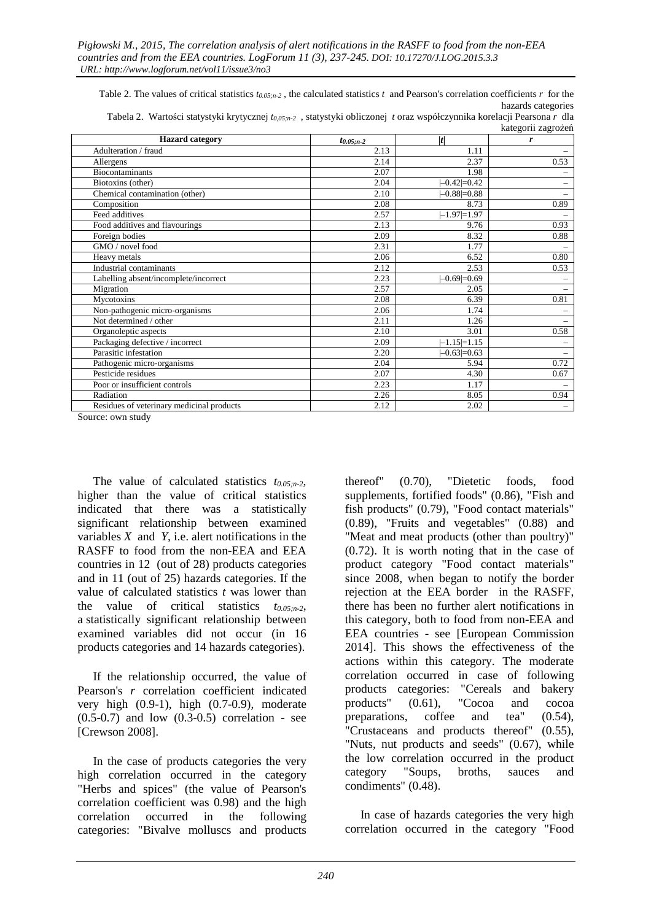Table 2. The values of critical statistics  $t_{0.05n-2}$ , the calculated statistics  $t$  and Pearson's correlation coefficients  $r$  for the hazards categories

| Tabela 2. Wartości statystyki krytycznej to,os,n-2, statystyki obliczonej toraz współczynnika korelacji Pearsona r dla |  |                    |
|------------------------------------------------------------------------------------------------------------------------|--|--------------------|
|                                                                                                                        |  | kategorii zagrożeń |

| <b>Hazard</b> category                    | $t_{0.05; n-2}$ | t                   | r                        |
|-------------------------------------------|-----------------|---------------------|--------------------------|
| Adulteration / fraud                      | 2.13            | 1.11                |                          |
| Allergens                                 | 2.14            | 2.37                | 0.53                     |
| <b>Biocontaminants</b>                    | 2.07            | 1.98                |                          |
| Biotoxins (other)                         | 2.04            | $-0.42 \neq 0.42$   |                          |
| Chemical contamination (other)            | 2.10            | $-0.88 = 0.88$      |                          |
| Composition                               | 2.08            | 8.73                | 0.89                     |
| Feed additives                            | 2.57            | $-1.97 = 1.97$      |                          |
| Food additives and flavourings            | 2.13            | 9.76                | 0.93                     |
| Foreign bodies                            | 2.09            | 8.32                | 0.88                     |
| GMO / novel food                          | 2.31            | 1.77                |                          |
| Heavy metals                              | 2.06            | 6.52                | 0.80                     |
| Industrial contaminants                   | 2.12            | 2.53                | 0.53                     |
| Labelling absent/incomplete/incorrect     | 2.23            | $-0.69=0.69$        |                          |
| Migration                                 | 2.57            | 2.05                |                          |
| Mycotoxins                                | 2.08            | 6.39                | 0.81                     |
| Non-pathogenic micro-organisms            | 2.06            | 1.74                |                          |
| Not determined / other                    | 2.11            | 1.26                |                          |
| Organoleptic aspects                      | 2.10            | 3.01                | 0.58                     |
| Packaging defective / incorrect           | 2.09            | $-1.15 = 1.15$      |                          |
| Parasitic infestation                     | 2.20            | $-0.63 \times 0.63$ |                          |
| Pathogenic micro-organisms                | 2.04            | 5.94                | 0.72                     |
| Pesticide residues                        | 2.07            | 4.30                | 0.67                     |
| Poor or insufficient controls             | 2.23            | 1.17                |                          |
| Radiation                                 | 2.26            | 8.05                | 0.94                     |
| Residues of veterinary medicinal products | 2.12            | 2.02                | $\overline{\phantom{0}}$ |

Source: own study

The value of calculated statistics *t0.05;n-2*, higher than the value of critical statistics indicated that there was a statistically significant relationship between examined variables *X* and *Y*, i.e. alert notifications in the RASFF to food from the non-EEA and EEA countries in 12 (out of 28) products categories and in 11 (out of 25) hazards categories. If the value of calculated statistics *t* was lower than the value of critical statistics *t0.05;n-2*, a statistically significant relationship between examined variables did not occur (in 16 products categories and 14 hazards categories).

If the relationship occurred, the value of Pearson's *r* correlation coefficient indicated very high (0.9-1), high (0.7-0.9), moderate (0.5-0.7) and low (0.3-0.5) correlation - see [Crewson 2008].

In the case of products categories the very high correlation occurred in the category "Herbs and spices" (the value of Pearson's correlation coefficient was 0.98) and the high correlation occurred in the following categories: "Bivalve molluscs and products

thereof" (0.70), "Dietetic foods, food supplements, fortified foods" (0.86), "Fish and fish products" (0.79), "Food contact materials" (0.89), "Fruits and vegetables" (0.88) and "Meat and meat products (other than poultry)" (0.72). It is worth noting that in the case of product category "Food contact materials" since 2008, when began to notify the border rejection at the EEA border in the RASFF, there has been no further alert notifications in this category, both to food from non-EEA and EEA countries - see [European Commission 2014]. This shows the effectiveness of the actions within this category. The moderate correlation occurred in case of following products categories: "Cereals and bakery products" (0.61), "Cocoa and cocoa preparations, coffee and tea" (0.54), "Crustaceans and products thereof" (0.55), "Nuts, nut products and seeds" (0.67), while the low correlation occurred in the product category "Soups, broths, sauces and condiments" (0.48).

In case of hazards categories the very high correlation occurred in the category "Food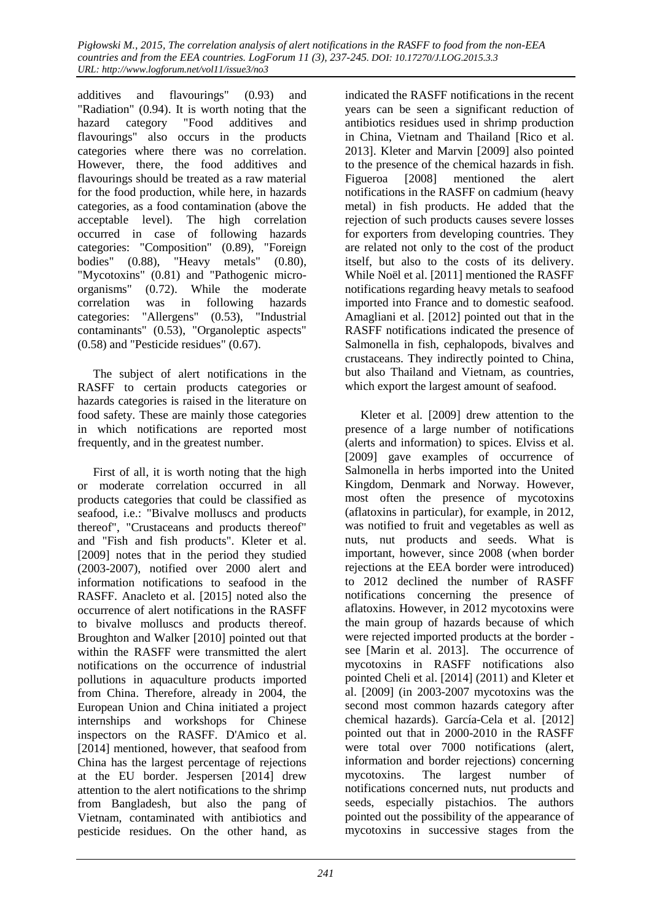additives and flavourings" (0.93) and "Radiation" (0.94). It is worth noting that the hazard category "Food additives and flavourings" also occurs in the products categories where there was no correlation. However, there, the food additives and flavourings should be treated as a raw material for the food production, while here, in hazards categories, as a food contamination (above the acceptable level). The high correlation occurred in case of following hazards categories: "Composition" (0.89), "Foreign bodies" (0.88), "Heavy metals" (0.80), "Mycotoxins" (0.81) and "Pathogenic microorganisms" (0.72). While the moderate correlation was in following hazards categories: "Allergens" (0.53), "Industrial contaminants" (0.53), "Organoleptic aspects" (0.58) and "Pesticide residues" (0.67).

The subject of alert notifications in the RASFF to certain products categories or hazards categories is raised in the literature on food safety. These are mainly those categories in which notifications are reported most frequently, and in the greatest number.

First of all, it is worth noting that the high or moderate correlation occurred in all products categories that could be classified as seafood, i.e.: "Bivalve molluscs and products thereof", "Crustaceans and products thereof" and "Fish and fish products". Kleter et al. [2009] notes that in the period they studied (2003-2007), notified over 2000 alert and information notifications to seafood in the RASFF. Anacleto et al. [2015] noted also the occurrence of alert notifications in the RASFF to bivalve molluscs and products thereof. Broughton and Walker [2010] pointed out that within the RASFF were transmitted the alert notifications on the occurrence of industrial pollutions in aquaculture products imported from China. Therefore, already in 2004, the European Union and China initiated a project internships and workshops for Chinese inspectors on the RASFF. D'Amico et al. [2014] mentioned, however, that seafood from China has the largest percentage of rejections at the EU border. Jespersen [2014] drew attention to the alert notifications to the shrimp from Bangladesh, but also the pang of Vietnam, contaminated with antibiotics and pesticide residues. On the other hand, as

indicated the RASFF notifications in the recent years can be seen a significant reduction of antibiotics residues used in shrimp production in China, Vietnam and Thailand [Rico et al. 2013]. Kleter and Marvin [2009] also pointed to the presence of the chemical hazards in fish. Figueroa [2008] mentioned the alert notifications in the RASFF on cadmium (heavy metal) in fish products. He added that the rejection of such products causes severe losses for exporters from developing countries. They are related not only to the cost of the product itself, but also to the costs of its delivery. While Noël et al. [2011] mentioned the RASFF notifications regarding heavy metals to seafood imported into France and to domestic seafood. Amagliani et al. [2012] pointed out that in the RASFF notifications indicated the presence of Salmonella in fish, cephalopods, bivalves and crustaceans. They indirectly pointed to China, but also Thailand and Vietnam, as countries, which export the largest amount of seafood.

Kleter et al. [2009] drew attention to the presence of a large number of notifications (alerts and information) to spices. Elviss et al. [2009] gave examples of occurrence of Salmonella in herbs imported into the United Kingdom, Denmark and Norway. However, most often the presence of mycotoxins (aflatoxins in particular), for example, in 2012, was notified to fruit and vegetables as well as nuts, nut products and seeds. What is important, however, since 2008 (when border rejections at the EEA border were introduced) to 2012 declined the number of RASFF notifications concerning the presence of aflatoxins. However, in 2012 mycotoxins were the main group of hazards because of which were rejected imported products at the border see [Marin et al. 2013]. The occurrence of mycotoxins in RASFF notifications also pointed Cheli et al. [2014] (2011) and Kleter et al. [2009] (in 2003-2007 mycotoxins was the second most common hazards category after chemical hazards). García-Cela et al. [2012] pointed out that in 2000-2010 in the RASFF were total over 7000 notifications (alert, information and border rejections) concerning mycotoxins. The largest number of notifications concerned nuts, nut products and seeds, especially pistachios. The authors pointed out the possibility of the appearance of mycotoxins in successive stages from the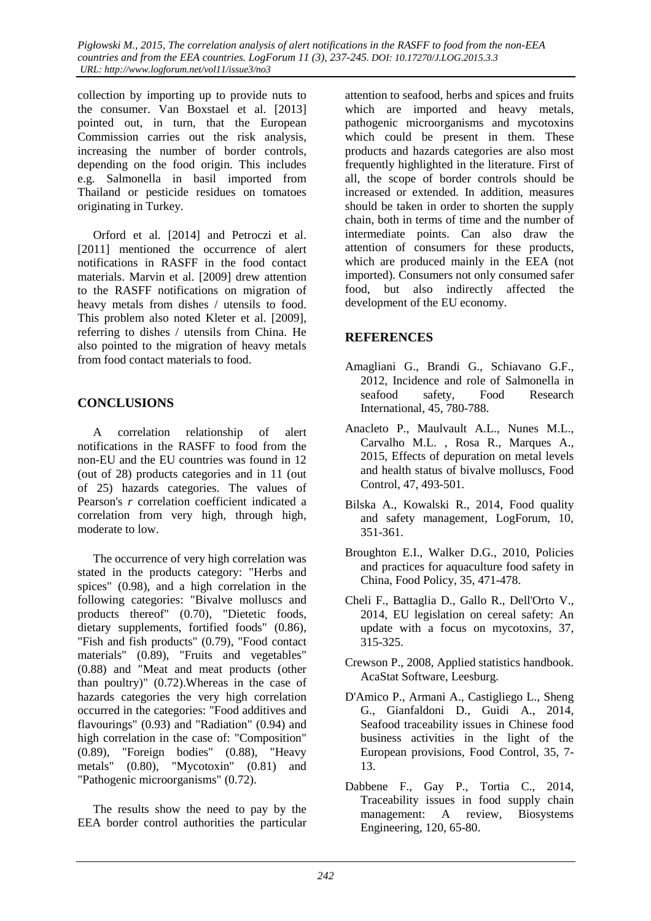*Pigłowski M., 2015, The correlation analysis of alert notifications in the RASFF to food from the non-EEA countries and from the EEA countries. LogForum 11 (3), 237-245. DOI: 10.17270/J.LOG.2015.3.3 URL: http://www.logforum.net/vol11/issue3/no3* 

collection by importing up to provide nuts to the consumer. Van Boxstael et al. [2013] pointed out, in turn, that the European Commission carries out the risk analysis, increasing the number of border controls, depending on the food origin. This includes e.g. Salmonella in basil imported from Thailand or pesticide residues on tomatoes originating in Turkey.

Orford et al. [2014] and Petroczi et al. [2011] mentioned the occurrence of alert notifications in RASFF in the food contact materials. Marvin et al. [2009] drew attention to the RASFF notifications on migration of heavy metals from dishes / utensils to food. This problem also noted Kleter et al. [2009], referring to dishes / utensils from China. He also pointed to the migration of heavy metals from food contact materials to food.

## **CONCLUSIONS**

A correlation relationship of alert notifications in the RASFF to food from the non-EU and the EU countries was found in 12 (out of 28) products categories and in 11 (out of 25) hazards categories. The values of Pearson's *r* correlation coefficient indicated a correlation from very high, through high, moderate to low.

The occurrence of very high correlation was stated in the products category: "Herbs and spices" (0.98), and a high correlation in the following categories: "Bivalve molluscs and products thereof" (0.70), "Dietetic foods, dietary supplements, fortified foods" (0.86), "Fish and fish products" (0.79), "Food contact materials" (0.89), "Fruits and vegetables" (0.88) and "Meat and meat products (other than poultry)" (0.72).Whereas in the case of hazards categories the very high correlation occurred in the categories: "Food additives and flavourings" (0.93) and "Radiation" (0.94) and high correlation in the case of: "Composition" (0.89), "Foreign bodies" (0.88), "Heavy metals" (0.80), "Mycotoxin" (0.81) and "Pathogenic microorganisms" (0.72).

The results show the need to pay by the EEA border control authorities the particular attention to seafood, herbs and spices and fruits which are imported and heavy metals, pathogenic microorganisms and mycotoxins which could be present in them. These products and hazards categories are also most frequently highlighted in the literature. First of all, the scope of border controls should be increased or extended. In addition, measures should be taken in order to shorten the supply chain, both in terms of time and the number of intermediate points. Can also draw the attention of consumers for these products, which are produced mainly in the EEA (not imported). Consumers not only consumed safer food, but also indirectly affected the development of the EU economy.

## **REFERENCES**

- Amagliani G., Brandi G., Schiavano G.F., 2012, Incidence and role of Salmonella in seafood safety, Food Research International, 45, 780-788.
- Anacleto P., Maulvault A.L., Nunes M.L., Carvalho M.L. , Rosa R., Marques A., 2015, Effects of depuration on metal levels and health status of bivalve molluscs, Food Control, 47, 493-501.
- Bilska A., Kowalski R., 2014, Food quality and safety management, LogForum, 10, 351-361.
- Broughton E.I., Walker D.G., 2010, Policies and practices for aquaculture food safety in China, Food Policy, 35, 471-478.
- Cheli F., Battaglia D., Gallo R., Dell'Orto V., 2014, EU legislation on cereal safety: An update with a focus on mycotoxins, 37, 315-325.
- Crewson P., 2008, Applied statistics handbook. AcaStat Software, Leesburg.
- D'Amico P., Armani A., Castigliego L., Sheng G., Gianfaldoni D., Guidi A., 2014, Seafood traceability issues in Chinese food business activities in the light of the European provisions, Food Control, 35, 7- 13.
- Dabbene F., Gay P., Tortia C., 2014, Traceability issues in food supply chain management: A review, Biosystems Engineering, 120, 65-80.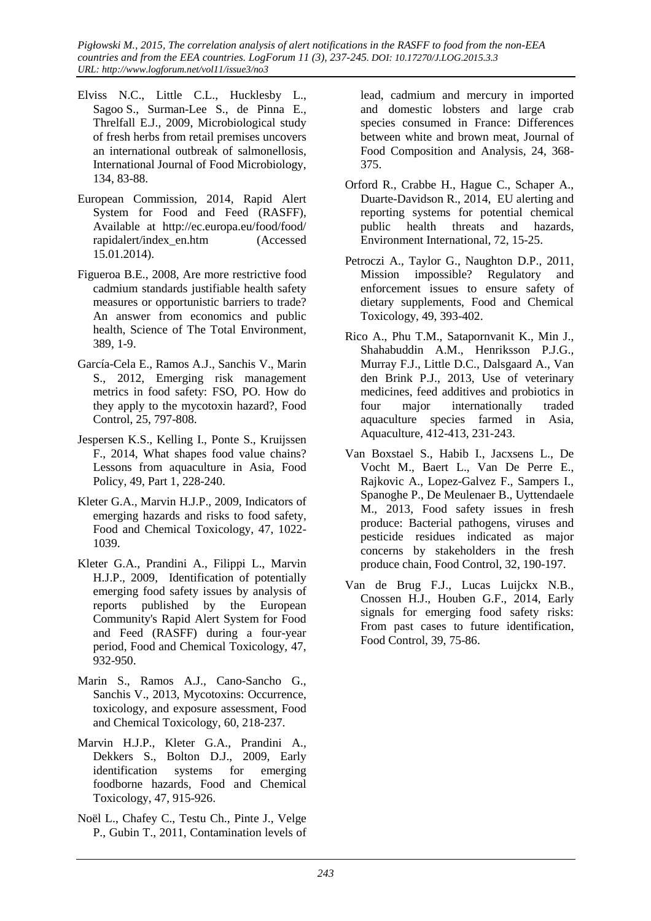*Pigłowski M., 2015, The correlation analysis of alert notifications in the RASFF to food from the non-EEA countries and from the EEA countries. LogForum 11 (3), 237-245. DOI: 10.17270/J.LOG.2015.3.3 URL: http://www.logforum.net/vol11/issue3/no3* 

- Elviss N.C., Little C.L., Hucklesby L., Sagoo S., Surman-Lee S., de Pinna E., Threlfall E.J., 2009, Microbiological study of fresh herbs from retail premises uncovers an international outbreak of salmonellosis, International Journal of Food Microbiology, 134, 83-88.
- European Commission, 2014, Rapid Alert System for Food and Feed (RASFF), Available at http://ec.europa.eu/food/food/ rapidalert/index\_en.htm (Accessed 15.01.2014).
- Figueroa B.E., 2008, Are more restrictive food cadmium standards justifiable health safety measures or opportunistic barriers to trade? An answer from economics and public health, Science of The Total Environment, 389, 1-9.
- García-Cela E., Ramos A.J., Sanchis V., Marin S., 2012, Emerging risk management metrics in food safety: FSO, PO. How do they apply to the mycotoxin hazard?, Food Control, 25, 797-808.
- Jespersen K.S., Kelling I., Ponte S., Kruijssen F., 2014, What shapes food value chains? Lessons from aquaculture in Asia, Food Policy, 49, Part 1, 228-240.
- Kleter G.A., Marvin H.J.P., 2009, Indicators of emerging hazards and risks to food safety, Food and Chemical Toxicology, 47, 1022- 1039.
- Kleter G.A., Prandini A., Filippi L., Marvin H.J.P., 2009, Identification of potentially emerging food safety issues by analysis of reports published by the European Community's Rapid Alert System for Food and Feed (RASFF) during a four-year period, Food and Chemical Toxicology, 47, 932-950.
- Marin S., Ramos A.J., Cano-Sancho G., Sanchis V., 2013, Mycotoxins: Occurrence, toxicology, and exposure assessment, Food and Chemical Toxicology, 60, 218-237.
- Marvin H.J.P., Kleter G.A., Prandini A., Dekkers S., Bolton D.J., 2009, Early identification systems for emerging foodborne hazards, Food and Chemical Toxicology, 47, 915-926.
- Noël L., Chafey C., Testu Ch., Pinte J., Velge P., Gubin T., 2011, Contamination levels of

lead, cadmium and mercury in imported and domestic lobsters and large crab species consumed in France: Differences between white and brown meat, Journal of Food Composition and Analysis, 24, 368- 375.

- Orford R., Crabbe H., Hague C., Schaper A., Duarte-Davidson R., 2014, EU alerting and reporting systems for potential chemical public health threats and hazards, Environment International, 72, 15-25.
- Petroczi A., Taylor G., Naughton D.P., 2011, Mission impossible? Regulatory and enforcement issues to ensure safety of dietary supplements, Food and Chemical Toxicology, 49, 393-402.
- Rico A., Phu T.M., Satapornvanit K., Min J., Shahabuddin A.M., Henriksson P.J.G., Murray F.J., Little D.C., Dalsgaard A., Van den Brink P.J., 2013, Use of veterinary medicines, feed additives and probiotics in four major internationally traded aquaculture species farmed in Asia, Aquaculture, 412-413, 231-243.
- Van Boxstael S., Habib I., Jacxsens L., De Vocht M., Baert L., Van De Perre E., Rajkovic A., Lopez-Galvez F., Sampers I., Spanoghe P., De Meulenaer B., Uyttendaele M., 2013, Food safety issues in fresh produce: Bacterial pathogens, viruses and pesticide residues indicated as major concerns by stakeholders in the fresh produce chain, Food Control, 32, 190-197.
- Van de Brug F.J., Lucas Luijckx N.B., Cnossen H.J., Houben G.F., 2014, Early signals for emerging food safety risks: From past cases to future identification, Food Control, 39, 75-86.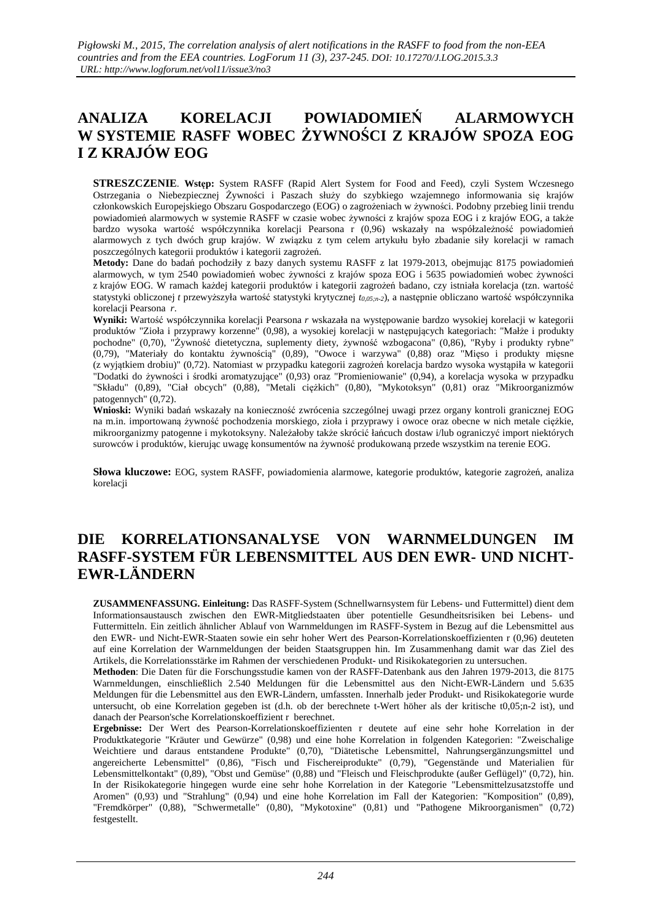# **ANALIZA KORELACJI POWIADOMIEŃ ALARMOWYCH W SYSTEMIE RASFF WOBEC ŻYWNOŚCI Z KRAJÓW SPOZA EOG I Z KRAJÓW EOG**

**STRESZCZENIE**. **Wstęp:** System RASFF (Rapid Alert System for Food and Feed), czyli System Wczesnego Ostrzegania o Niebezpiecznej Żywności i Paszach służy do szybkiego wzajemnego informowania się krajów członkowskich Europejskiego Obszaru Gospodarczego (EOG) o zagrożeniach w żywności. Podobny przebieg linii trendu powiadomień alarmowych w systemie RASFF w czasie wobec żywności z krajów spoza EOG i z krajów EOG, a także bardzo wysoka wartość współczynnika korelacji Pearsona r (0,96) wskazały na współzależność powiadomień alarmowych z tych dwóch grup krajów. W związku z tym celem artykułu było zbadanie siły korelacji w ramach poszczególnych kategorii produktów i kategorii zagrożeń.

**Metody:** Dane do badań pochodziły z bazy danych systemu RASFF z lat 1979-2013, obejmując 8175 powiadomień alarmowych, w tym 2540 powiadomień wobec żywności z krajów spoza EOG i 5635 powiadomień wobec żywności z krajów EOG. W ramach każdej kategorii produktów i kategorii zagrożeń badano, czy istniała korelacja (tzn. wartość statystyki obliczonej *t* przewyższyła wartość statystyki krytycznej *t0,05;n-2*), a następnie obliczano wartość współczynnika korelacji Pearsona *r*.

**Wyniki:** Wartość współczynnika korelacji Pearsona *r* wskazała na występowanie bardzo wysokiej korelacji w kategorii produktów "Zioła i przyprawy korzenne" (0,98), a wysokiej korelacji w następujących kategoriach: "Małże i produkty pochodne" (0,70), "Żywność dietetyczna, suplementy diety, żywność wzbogacona" (0,86), "Ryby i produkty rybne" (0,79), "Materiały do kontaktu żywnością" (0,89), "Owoce i warzywa" (0,88) oraz "Mięso i produkty mięsne (z wyjątkiem drobiu)" (0,72). Natomiast w przypadku kategorii zagrożeń korelacja bardzo wysoka wystąpiła w kategorii "Dodatki do żywności i środki aromatyzujące" (0,93) oraz "Promieniowanie" (0,94), a korelacja wysoka w przypadku "Składu" (0,89), "Ciał obcych" (0,88), "Metali ciężkich" (0,80), "Mykotoksyn" (0,81) oraz "Mikroorganizmów patogennych" (0,72).

**Wnioski:** Wyniki badań wskazały na konieczność zwrócenia szczególnej uwagi przez organy kontroli granicznej EOG na m.in. importowaną żywność pochodzenia morskiego, zioła i przyprawy i owoce oraz obecne w nich metale ciężkie, mikroorganizmy patogenne i mykotoksyny. Należałoby także skrócić łańcuch dostaw i/lub ograniczyć import niektórych surowców i produktów, kierując uwagę konsumentów na żywność produkowaną przede wszystkim na terenie EOG.

**Słowa kluczowe:** EOG, system RASFF, powiadomienia alarmowe, kategorie produktów, kategorie zagrożeń, analiza korelacii

# **DIE KORRELATIONSANALYSE VON WARNMELDUNGEN IM RASFF-SYSTEM FÜR LEBENSMITTEL AUS DEN EWR- UND NICHT-EWR-LÄNDERN**

**ZUSAMMENFASSUNG. Einleitung:** Das RASFF-System (Schnellwarnsystem für Lebens- und Futtermittel) dient dem Informationsaustausch zwischen den EWR-Mitgliedstaaten über potentielle Gesundheitsrisiken bei Lebens- und Futtermitteln. Ein zeitlich ähnlicher Ablauf von Warnmeldungen im RASFF-System in Bezug auf die Lebensmittel aus den EWR- und Nicht-EWR-Staaten sowie ein sehr hoher Wert des Pearson-Korrelationskoeffizienten r (0,96) deuteten auf eine Korrelation der Warnmeldungen der beiden Staatsgruppen hin. Im Zusammenhang damit war das Ziel des Artikels, die Korrelationsstärke im Rahmen der verschiedenen Produkt- und Risikokategorien zu untersuchen.

**Methoden**: Die Daten für die Forschungsstudie kamen von der RASFF-Datenbank aus den Jahren 1979-2013, die 8175 Warnmeldungen, einschließlich 2.540 Meldungen für die Lebensmittel aus den Nicht-EWR-Ländern und 5.635 Meldungen für die Lebensmittel aus den EWR-Ländern, umfassten. Innerhalb jeder Produkt- und Risikokategorie wurde untersucht, ob eine Korrelation gegeben ist (d.h. ob der berechnete t-Wert höher als der kritische t0,05;n-2 ist), und danach der Pearson'sche Korrelationskoeffizient r berechnet.

**Ergebnisse:** Der Wert des Pearson-Korrelationskoeffizienten r deutete auf eine sehr hohe Korrelation in der Produktkategorie "Kräuter und Gewürze" (0,98) und eine hohe Korrelation in folgenden Kategorien: "Zweischalige Weichtiere und daraus entstandene Produkte" (0,70), "Diätetische Lebensmittel, Nahrungsergänzungsmittel und angereicherte Lebensmittel" (0,86), "Fisch und Fischereiprodukte" (0,79), "Gegenstände und Materialien für Lebensmittelkontakt" (0,89), "Obst und Gemüse" (0,88) und "Fleisch und Fleischprodukte (außer Geflügel)" (0,72), hin. In der Risikokategorie hingegen wurde eine sehr hohe Korrelation in der Kategorie "Lebensmittelzusatzstoffe und Aromen" (0,93) und "Strahlung" (0,94) und eine hohe Korrelation im Fall der Kategorien: "Komposition" (0,89), "Fremdkörper" (0,88), "Schwermetalle" (0,80), "Mykotoxine" (0,81) und "Pathogene Mikroorganismen" (0,72) festgestellt.